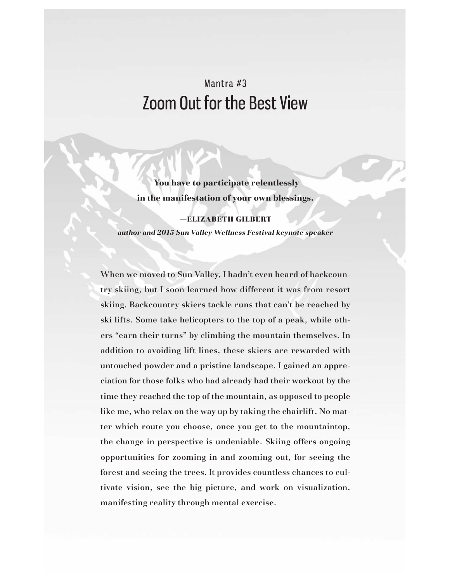# Mantra #3 Zoom Out for the Best View

 **You have to participate relentlessly in the manifestation of your own blessings.** 

—ELIZABETH GILBERT *author and 2015 Sun Valley Wellness Festival keynote speaker*

When we moved to Sun Valley, I hadn't even heard of backcountry skiing, but I soon learned how different it was from resort skiing. Backcountry skiers tackle runs that can't be reached by ski lifts. Some take helicopters to the top of a peak, while others "earn their turns" by climbing the mountain themselves. In addition to avoiding lift lines, these skiers are rewarded with untouched powder and a pristine landscape. I gained an appreciation for those folks who had already had their workout by the time they reached the top of the mountain, as opposed to people like me, who relax on the way up by taking the chairlift. No matter which route you choose, once you get to the mountaintop, the change in perspective is undeniable. Skiing offers ongoing opportunities for zooming in and zooming out, for seeing the forest and seeing the trees. It provides countless chances to cultivate vision, see the big picture, and work on visualization, manifesting reality through mental exercise.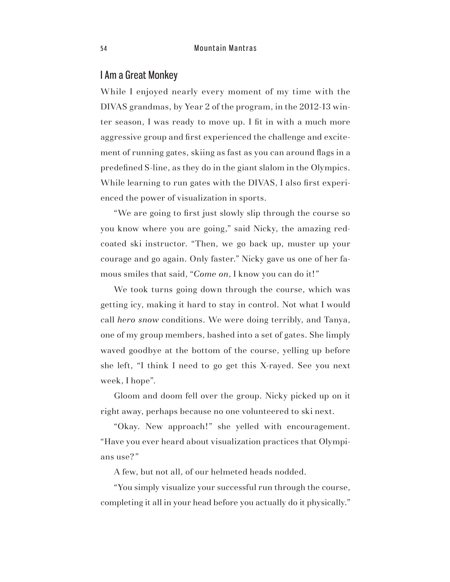#### I Am a Great Monkey

While I enjoyed nearly every moment of my time with the DIVAS grandmas, by Year 2 of the program, in the 2012-13 winter season, I was ready to move up. I fit in with a much more aggressive group and first experienced the challenge and excitement of running gates, skiing as fast as you can around flags in a predefined S-line, as they do in the giant slalom in the Olympics. While learning to run gates with the DIVAS, I also first experienced the power of visualization in sports.

"We are going to first just slowly slip through the course so you know where you are going," said Nicky, the amazing redcoated ski instructor. "Then, we go back up, muster up your courage and go again. Only faster." Nicky gave us one of her famous smiles that said, "*Come on*, I know you can do it!"

We took turns going down through the course, which was getting icy, making it hard to stay in control. Not what I would call *hero snow* conditions. We were doing terribly, and Tanya, one of my group members, bashed into a set of gates. She limply waved goodbye at the bottom of the course, yelling up before she left, "I think I need to go get this X-rayed. See you next week, I hope".

Gloom and doom fell over the group. Nicky picked up on it right away, perhaps because no one volunteered to ski next.

"Okay. New approach!" she yelled with encouragement. "Have you ever heard about visualization practices that Olympians use?"

A few, but not all, of our helmeted heads nodded.

"You simply visualize your successful run through the course, completing it all in your head before you actually do it physically."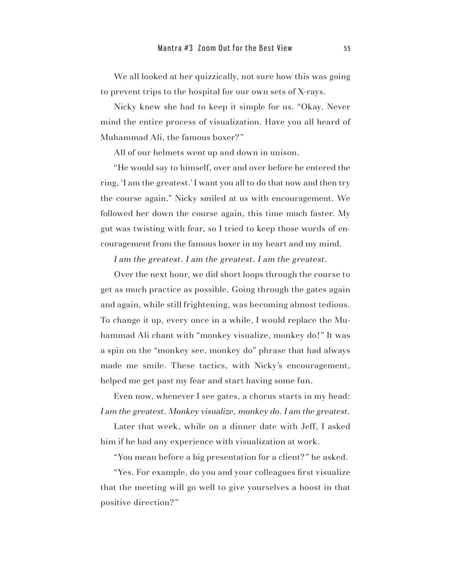We all looked at her quizzically, not sure how this was going to prevent trips to the hospital for our own sets of X-rays.

Nicky knew she had to keep it simple for us. "Okay. Never mind the entire process of visualization. Have you all heard of Muhammad Ali, the famous boxer?"

All of our helmets went up and down in unison.

"He would say to himself, over and over before he entered the ring, 'I am the greatest.' I want you all to do that now and then try the course again." Nicky smiled at us with encouragement. We followed her down the course again, this time much faster. My gut was twisting with fear, so I tried to keep those words of encouragement from the famous boxer in my heart and my mind.

*I am the greatest. I am the greatest. I am the greatest.*

Over the next hour, we did short loops through the course to get as much practice as possible. Going through the gates again and again, while still frightening, was becoming almost tedious. To change it up, every once in a while, I would replace the Muhammad Ali chant with "monkey visualize, monkey do!" It was a spin on the "monkey see, monkey do" phrase that had always made me smile. These tactics, with Nicky's encouragement, helped me get past my fear and start having some fun.

Even now, whenever I see gates, a chorus starts in my head: *I am the greatest. Monkey visualize, monkey do. I am the greatest.* 

Later that week, while on a dinner date with Jeff, I asked him if he had any experience with visualization at work.

"You mean before a big presentation for a client?" he asked.

"Yes. For example, do you and your colleagues first visualize that the meeting will go well to give yourselves a boost in that positive direction?"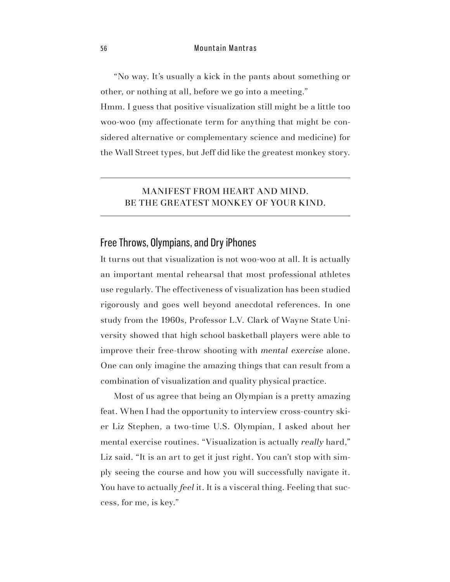5 6 Mountain Mantras

"No way. It's usually a kick in the pants about something or other, or nothing at all, before we go into a meeting."

Hmm. I guess that positive visualization still might be a little too woo-woo (my affectionate term for anything that might be considered alternative or complementary science and medicine) for the Wall Street types, but Jeff did like the greatest monkey story.

#### MANIFEST FROM HEART AND MIND. BE THE GREATEST MONKEY OF YOUR KIND.

# Free Throws, Olympians, and Dry iPhones

It turns out that visualization is not woo-woo at all. It is actually an important mental rehearsal that most professional athletes use regularly. The effectiveness of visualization has been studied rigorously and goes well beyond anecdotal references. In one study from the 1960s, Professor L.V. Clark of Wayne State University showed that high school basketball players were able to improve their free-throw shooting with *mental exercise* alone. One can only imagine the amazing things that can result from a combination of visualization and quality physical practice.

Most of us agree that being an Olympian is a pretty amazing feat. When I had the opportunity to interview cross-country skier Liz Stephen, a two-time U.S. Olympian, I asked about her mental exercise routines. "Visualization is actually *really* hard," Liz said. "It is an art to get it just right. You can't stop with simply seeing the course and how you will successfully navigate it. You have to actually *feel* it. It is a visceral thing. Feeling that success, for me, is key."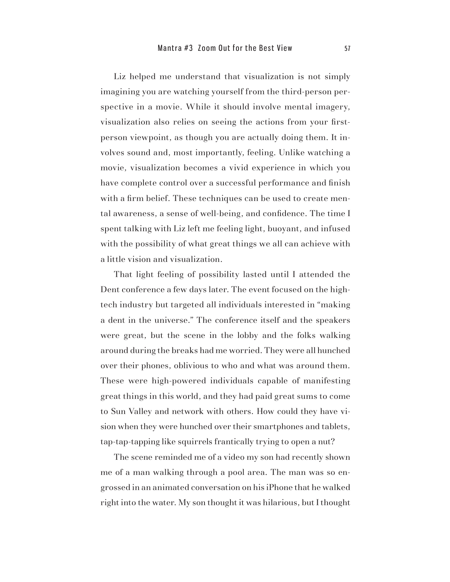Liz helped me understand that visualization is not simply imagining you are watching yourself from the third-person perspective in a movie. While it should involve mental imagery, visualization also relies on seeing the actions from your firstperson viewpoint, as though you are actually doing them. It involves sound and, most importantly, feeling. Unlike watching a movie, visualization becomes a vivid experience in which you have complete control over a successful performance and finish with a firm belief. These techniques can be used to create mental awareness, a sense of well-being, and confidence. The time I spent talking with Liz left me feeling light, buoyant, and infused with the possibility of what great things we all can achieve with a little vision and visualization.

That light feeling of possibility lasted until I attended the Dent conference a few days later. The event focused on the hightech industry but targeted all individuals interested in "making a dent in the universe." The conference itself and the speakers were great, but the scene in the lobby and the folks walking around during the breaks had me worried. They were all hunched over their phones, oblivious to who and what was around them. These were high-powered individuals capable of manifesting great things in this world, and they had paid great sums to come to Sun Valley and network with others. How could they have vision when they were hunched over their smartphones and tablets, tap-tap-tapping like squirrels frantically trying to open a nut?

The scene reminded me of a video my son had recently shown me of a man walking through a pool area. The man was so engrossed in an animated conversation on his iPhone that he walked right into the water. My son thought it was hilarious, but I thought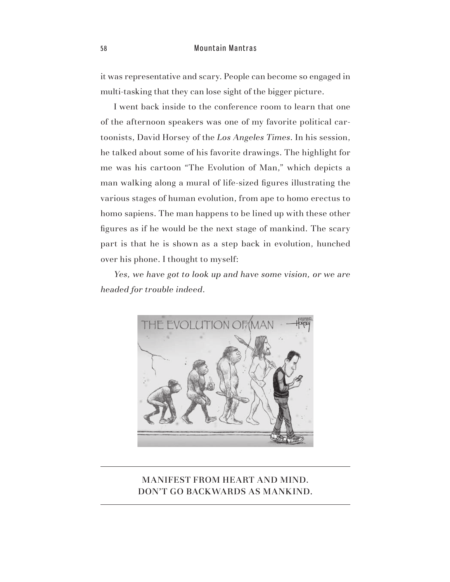#### 5 8 Mountain Mantras

it was representative and scary. People can become so engaged in multi-tasking that they can lose sight of the bigger picture.

I went back inside to the conference room to learn that one of the afternoon speakers was one of my favorite political cartoonists, David Horsey of the *Los Angeles Times*. In his session, he talked about some of his favorite drawings. The highlight for me was his cartoon "The Evolution of Man," which depicts a man walking along a mural of life-sized figures illustrating the various stages of human evolution, from ape to homo erectus to homo sapiens. The man happens to be lined up with these other figures as if he would be the next stage of mankind. The scary part is that he is shown as a step back in evolution, hunched over his phone. I thought to myself:

*Yes, we have got to look up and have some vision, or we are headed for trouble indeed*.



#### MANIFEST FROM HEART AND MIND. DON'T GO BACKWARDS AS MANKIND.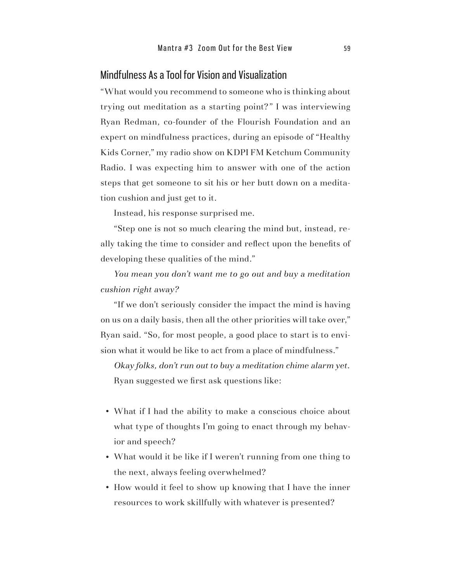# Mindfulness As a Tool for Vision and Visualization

"What would you recommend to someone who is thinking about trying out meditation as a starting point?" I was interviewing Ryan Redman, co-founder of the Flourish Foundation and an expert on mindfulness practices, during an episode of "Healthy Kids Corner," my radio show on KDPI FM Ketchum Community Radio. I was expecting him to answer with one of the action steps that get someone to sit his or her butt down on a meditation cushion and just get to it.

Instead, his response surprised me.

"Step one is not so much clearing the mind but, instead, really taking the time to consider and reflect upon the benefits of developing these qualities of the mind."

*You mean you don't want me to go out and buy a meditation cushion right away?*

"If we don't seriously consider the impact the mind is having on us on a daily basis, then all the other priorities will take over," Ryan said. "So, for most people, a good place to start is to envision what it would be like to act from a place of mindfulness."

*Okay folks, don't run out to buy a meditation chime alarm yet.* Ryan suggested we first ask questions like:

- What if I had the ability to make a conscious choice about what type of thoughts I'm going to enact through my behavior and speech?
- What would it be like if I weren't running from one thing to the next, always feeling overwhelmed?
- How would it feel to show up knowing that I have the inner resources to work skillfully with whatever is presented?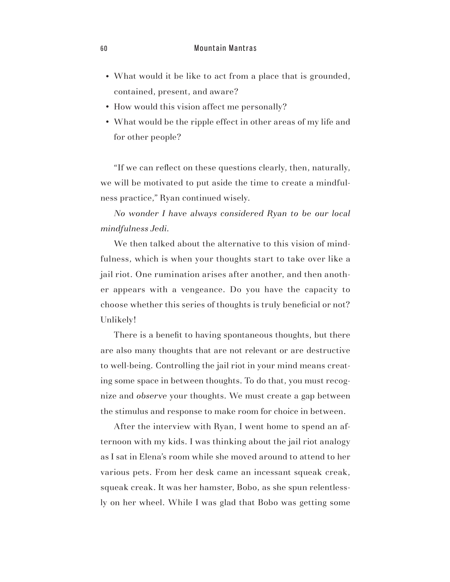- What would it be like to act from a place that is grounded, contained, present, and aware?
- How would this vision affect me personally?
- What would be the ripple effect in other areas of my life and for other people?

"If we can reflect on these questions clearly, then, naturally, we will be motivated to put aside the time to create a mindfulness practice," Ryan continued wisely.

*No wonder I have always considered Ryan to be our local mindfulness Jedi.*

We then talked about the alternative to this vision of mindfulness, which is when your thoughts start to take over like a jail riot. One rumination arises after another, and then another appears with a vengeance. Do you have the capacity to choose whether this series of thoughts is truly beneficial or not? Unlikely!

There is a benefit to having spontaneous thoughts, but there are also many thoughts that are not relevant or are destructive to well-being. Controlling the jail riot in your mind means creating some space in between thoughts. To do that, you must recognize and *observe* your thoughts. We must create a gap between the stimulus and response to make room for choice in between.

After the interview with Ryan, I went home to spend an afternoon with my kids. I was thinking about the jail riot analogy as I sat in Elena's room while she moved around to attend to her various pets. From her desk came an incessant squeak creak, squeak creak. It was her hamster, Bobo, as she spun relentlessly on her wheel. While I was glad that Bobo was getting some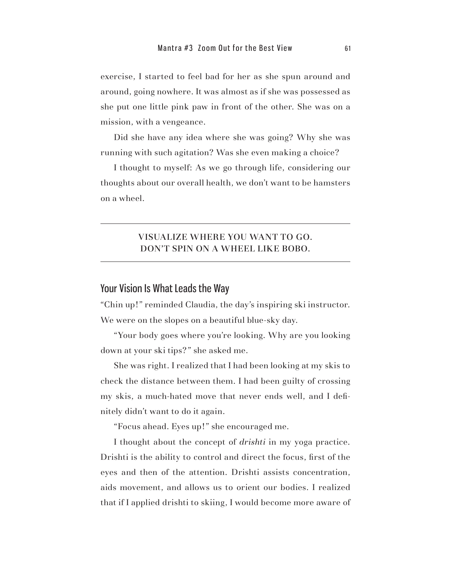exercise, I started to feel bad for her as she spun around and around, going nowhere. It was almost as if she was possessed as she put one little pink paw in front of the other. She was on a mission, with a vengeance.

Did she have any idea where she was going? Why she was running with such agitation? Was she even making a choice?

I thought to myself: As we go through life, considering our thoughts about our overall health, we don't want to be hamsters on a wheel.

#### VISUALIZE WHERE YOU WANT TO GO. DON'T SPIN ON A WHEEL LIKE BOBO.

#### Your Vision Is What Leads the Way

"Chin up!" reminded Claudia, the day's inspiring ski instructor. We were on the slopes on a beautiful blue-sky day.

"Your body goes where you're looking. Why are you looking down at your ski tips?" she asked me.

She was right. I realized that I had been looking at my skis to check the distance between them. I had been guilty of crossing my skis, a much-hated move that never ends well, and I definitely didn't want to do it again.

"Focus ahead. Eyes up!" she encouraged me.

I thought about the concept of *drishti* in my yoga practice. Drishti is the ability to control and direct the focus, first of the eyes and then of the attention. Drishti assists concentration, aids movement, and allows us to orient our bodies. I realized that if I applied drishti to skiing, I would become more aware of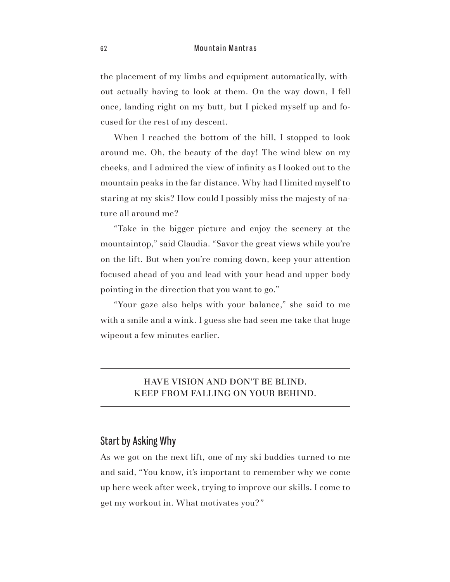the placement of my limbs and equipment automatically, without actually having to look at them. On the way down, I fell once, landing right on my butt, but I picked myself up and focused for the rest of my descent.

When I reached the bottom of the hill, I stopped to look around me. Oh, the beauty of the day! The wind blew on my cheeks, and I admired the view of infinity as I looked out to the mountain peaks in the far distance. Why had I limited myself to staring at my skis? How could I possibly miss the majesty of nature all around me?

"Take in the bigger picture and enjoy the scenery at the mountaintop," said Claudia. "Savor the great views while you're on the lift. But when you're coming down, keep your attention focused ahead of you and lead with your head and upper body pointing in the direction that you want to go."

"Your gaze also helps with your balance," she said to me with a smile and a wink. I guess she had seen me take that huge wipeout a few minutes earlier.

#### HAVE VISION AND DON'T BE BLIND. KEEP FROM FALLING ON YOUR BEHIND.

#### Start by Asking Why

As we got on the next lift, one of my ski buddies turned to me and said, "You know, it's important to remember why we come up here week after week, trying to improve our skills. I come to get my workout in. What motivates you?"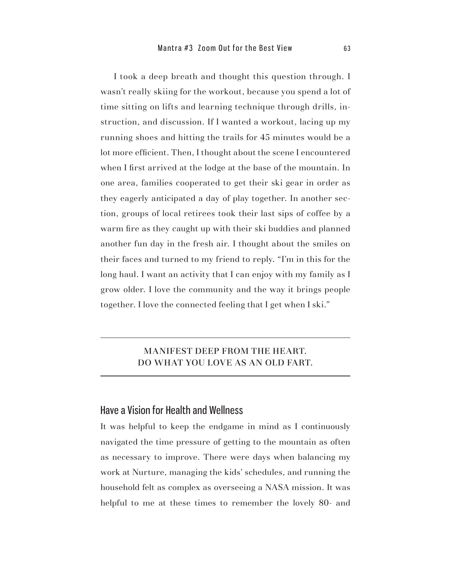I took a deep breath and thought this question through. I wasn't really skiing for the workout, because you spend a lot of time sitting on lifts and learning technique through drills, instruction, and discussion. If I wanted a workout, lacing up my running shoes and hitting the trails for 45 minutes would be a lot more efficient. Then, I thought about the scene I encountered when I first arrived at the lodge at the base of the mountain. In one area, families cooperated to get their ski gear in order as they eagerly anticipated a day of play together. In another section, groups of local retirees took their last sips of coffee by a warm fire as they caught up with their ski buddies and planned another fun day in the fresh air. I thought about the smiles on their faces and turned to my friend to reply. "I'm in this for the long haul. I want an activity that I can enjoy with my family as I grow older. I love the community and the way it brings people together. I love the connected feeling that I get when I ski."

#### MANIFEST DEEP FROM THE HEART. DO WHAT YOU LOVE AS AN OLD FART.

#### Have a Vision for Health and Wellness

It was helpful to keep the endgame in mind as I continuously navigated the time pressure of getting to the mountain as often as necessary to improve. There were days when balancing my work at Nurture, managing the kids' schedules, and running the household felt as complex as overseeing a NASA mission. It was helpful to me at these times to remember the lovely 80- and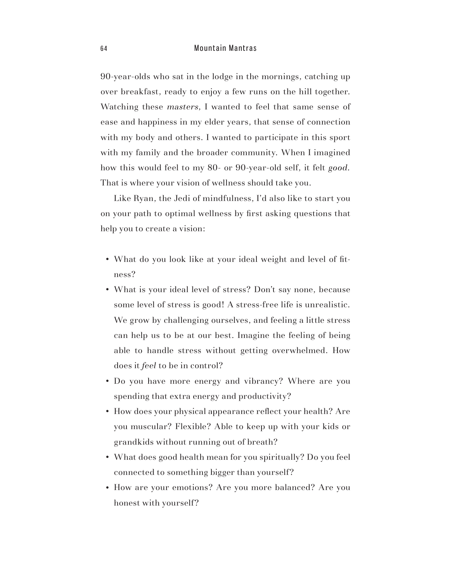90-year-olds who sat in the lodge in the mornings, catching up over breakfast, ready to enjoy a few runs on the hill together. Watching these *masters*, I wanted to feel that same sense of ease and happiness in my elder years, that sense of connection with my body and others. I wanted to participate in this sport with my family and the broader community. When I imagined how this would feel to my 80- or 90-year-old self, it felt *good.* That is where your vision of wellness should take you.

Like Ryan, the Jedi of mindfulness, I'd also like to start you on your path to optimal wellness by first asking questions that help you to create a vision:

- What do you look like at your ideal weight and level of fitness?
- What is your ideal level of stress? Don't say none, because some level of stress is good! A stress-free life is unrealistic. We grow by challenging ourselves, and feeling a little stress can help us to be at our best. Imagine the feeling of being able to handle stress without getting overwhelmed. How does it *feel* to be in control?
- Do you have more energy and vibrancy? Where are you spending that extra energy and productivity?
- How does your physical appearance reflect your health? Are you muscular? Flexible? Able to keep up with your kids or grandkids without running out of breath?
- What does good health mean for you spiritually? Do you feel connected to something bigger than yourself?
- How are your emotions? Are you more balanced? Are you honest with yourself?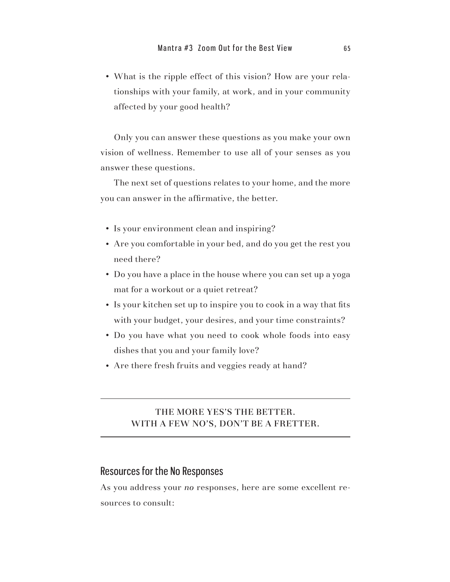• What is the ripple effect of this vision? How are your relationships with your family, at work, and in your community affected by your good health?

Only you can answer these questions as you make your own vision of wellness. Remember to use all of your senses as you answer these questions.

The next set of questions relates to your home, and the more you can answer in the affirmative, the better.

- Is your environment clean and inspiring?
- Are you comfortable in your bed, and do you get the rest you need there?
- Do you have a place in the house where you can set up a yoga mat for a workout or a quiet retreat?
- Is your kitchen set up to inspire you to cook in a way that fits with your budget, your desires, and your time constraints?
- Do you have what you need to cook whole foods into easy dishes that you and your family love?
- Are there fresh fruits and veggies ready at hand?

#### THE MORE YES'S THE BETTER. WITH A FEW NO'S, DON'T BE A FRETTER.

## Resources for the No Responses

As you address your *no* responses, here are some excellent resources to consult: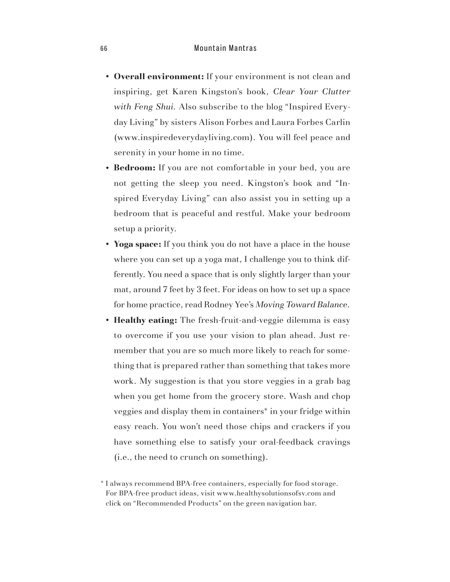#### 6 6 Mountain Mantras

- **Overall environment:** If your environment is not clean and inspiring, get Karen Kingston's book, *Clear Your Clutter with Feng Shui.* Also subscribe to the blog "Inspired Everyday Living" by sisters Alison Forbes and Laura Forbes Carlin (www.inspiredeverydayliving.com). You will feel peace and serenity in your home in no time.
- **Bedroom:** If you are not comfortable in your bed, you are not getting the sleep you need. Kingston's book and "Inspired Everyday Living" can also assist you in setting up a bedroom that is peaceful and restful. Make your bedroom setup a priority.
- **Yoga space:** If you think you do not have a place in the house where you can set up a yoga mat, I challenge you to think differently. You need a space that is only slightly larger than your mat, around 7 feet by 3 feet. For ideas on how to set up a space for home practice, read Rodney Yee's *Moving Toward Balance.*
- **Healthy eating:** The fresh-fruit-and-veggie dilemma is easy to overcome if you use your vision to plan ahead. Just remember that you are so much more likely to reach for something that is prepared rather than something that takes more work. My suggestion is that you store veggies in a grab bag when you get home from the grocery store. Wash and chop veggies and display them in containers\* in your fridge within easy reach. You won't need those chips and crackers if you have something else to satisfy your oral-feedback cravings (i.e., the need to crunch on something).

<sup>\*</sup> I always recommend BPA-free containers, especially for food storage. For BPA-free product ideas, visit www.healthysolutionsofsv.com and click on "Recommended Products" on the green navigation bar.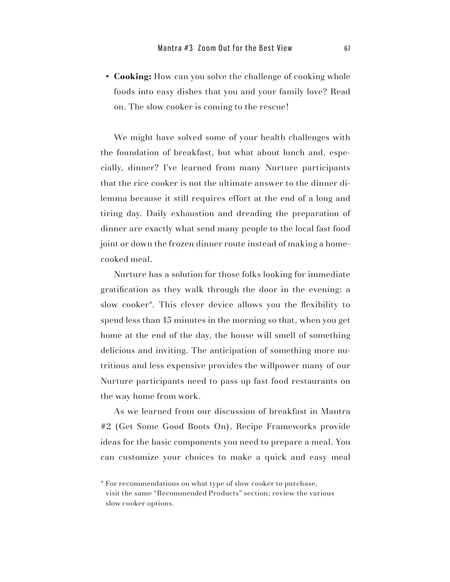• Cooking: How can you solve the challenge of cooking whole foods into easy dishes that you and your family love? Read on. The slow cooker is coming to the rescue!

We might have solved some of your health challenges with the foundation of breakfast, but what about lunch and, especially, dinner? I've learned from many Nurture participants that the rice cooker is not the ultimate answer to the dinner dilemma because it still requires effort at the end of a long and tiring day. Daily exhaustion and dreading the preparation of dinner are exactly what send many people to the local fast food joint or down the frozen dinner route instead of making a homecooked meal.

Nurture has a solution for those folks looking for immediate gratification as they walk through the door in the evening: a slow cooker\*. This clever device allows you the flexibility to spend less than 15 minutes in the morning so that, when you get home at the end of the day, the house will smell of something delicious and inviting. The anticipation of something more nutritious and less expensive provides the willpower many of our Nurture participants need to pass up fast food restaurants on the way home from work.

As we learned from our discussion of breakfast in Mantra #2 (Get Some Good Boots On), Recipe Frameworks provide ideas for the basic components you need to prepare a meal. You can customize your choices to make a quick and easy meal

<sup>\*</sup> For recommendations on what type of slow cooker to purchase, visit the same "Recommended Products" section; review the various slow cooker options.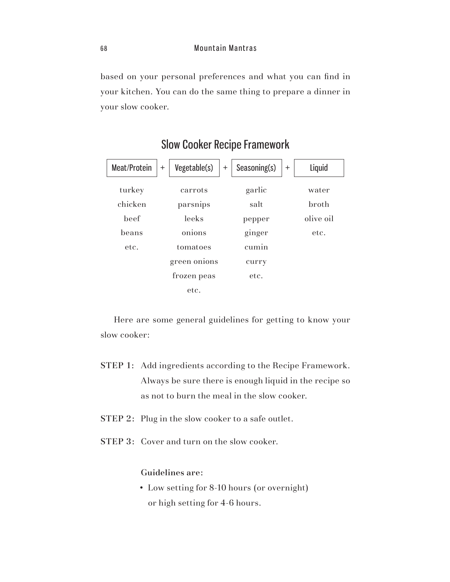based on your personal preferences and what you can find in your kitchen. You can do the same thing to prepare a dinner in your slow cooker.

| Meat/Protein | Vegetable(s)<br>$^{+}$ | $\pm$ | Seasoning(s) | $\ddot{}$ | Liquid       |
|--------------|------------------------|-------|--------------|-----------|--------------|
| turkey       | carrots                |       | garlic       |           | water        |
| chicken      | parsnips               |       | salt         |           | <b>broth</b> |
| beef         | leeks                  |       | pepper       |           | olive oil    |
| beans        | onions                 |       | ginger       |           | etc.         |
| etc.         | tomatoes               |       | cumin        |           |              |
|              | green onions           |       | curry        |           |              |
|              | frozen peas            |       | etc.         |           |              |
|              | etc.                   |       |              |           |              |

# Slow Cooker Recipe Framework

Here are some general guidelines for getting to know your slow cooker:

- STEP 1: Add ingredients according to the Recipe Framework. Always be sure there is enough liquid in the recipe so as not to burn the meal in the slow cooker.
- STEP 2: Plug in the slow cooker to a safe outlet.
- STEP 3: Cover and turn on the slow cooker.

Guidelines are:

• Low setting for 8-10 hours (or overnight) or high setting for 4-6 hours.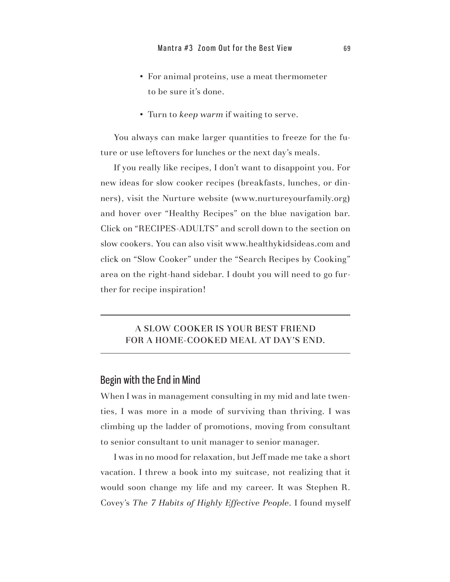- For animal proteins, use a meat thermometer to be sure it's done.
- s Turn to *keep warm* if waiting to serve.

You always can make larger quantities to freeze for the future or use leftovers for lunches or the next day's meals.

If you really like recipes, I don't want to disappoint you. For new ideas for slow cooker recipes (breakfasts, lunches, or dinners), visit the Nurture website (www.nurtureyourfamily.org) and hover over "Healthy Recipes" on the blue navigation bar. Click on "RECIPES-ADULTS" and scroll down to the section on slow cookers. You can also visit www.healthykidsideas.com and click on "Slow Cooker" under the "Search Recipes by Cooking" area on the right-hand sidebar. I doubt you will need to go further for recipe inspiration!

#### A SLOW COOKER IS YOUR BEST FRIEND FOR A HOME-COOKED MEAL AT DAY'S END.

## Begin with the End in Mind

When I was in management consulting in my mid and late twenties, I was more in a mode of surviving than thriving. I was climbing up the ladder of promotions, moving from consultant to senior consultant to unit manager to senior manager.

I was in no mood for relaxation, but Jeff made me take a short vacation. I threw a book into my suitcase, not realizing that it would soon change my life and my career. It was Stephen R. Covey's *The 7 Habits of Highly Effective People*. I found myself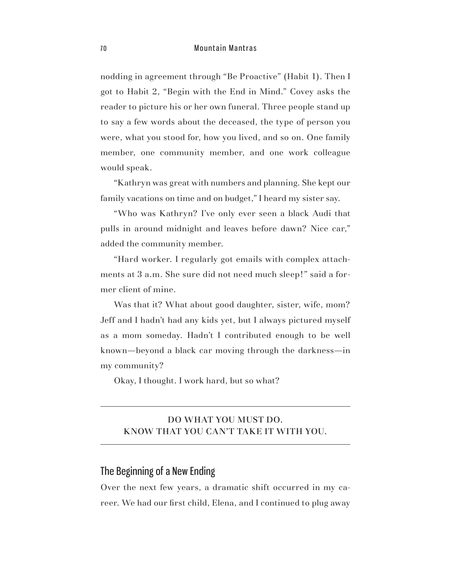#### 7 0 Mountain Mantras

nodding in agreement through "Be Proactive" (Habit 1). Then I got to Habit 2, "Begin with the End in Mind." Covey asks the reader to picture his or her own funeral. Three people stand up to say a few words about the deceased, the type of person you were, what you stood for, how you lived, and so on. One family member, one community member, and one work colleague would speak.

"Kathryn was great with numbers and planning. She kept our family vacations on time and on budget," I heard my sister say.

"Who was Kathryn? I've only ever seen a black Audi that pulls in around midnight and leaves before dawn? Nice car," added the community member.

"Hard worker. I regularly got emails with complex attachments at 3 a.m. She sure did not need much sleep!" said a former client of mine.

Was that it? What about good daughter, sister, wife, mom? Jeff and I hadn't had any kids yet, but I always pictured myself as a mom someday. Hadn't I contributed enough to be well known—beyond a black car moving through the darkness—in my community?

Okay, I thought. I work hard, but so what?

#### DO WHAT YOU MUST DO. KNOW THAT YOU CAN'T TAKE IT WITH YOU.

# The Beginning of a New Ending

Over the next few years, a dramatic shift occurred in my career. We had our first child, Elena, and I continued to plug away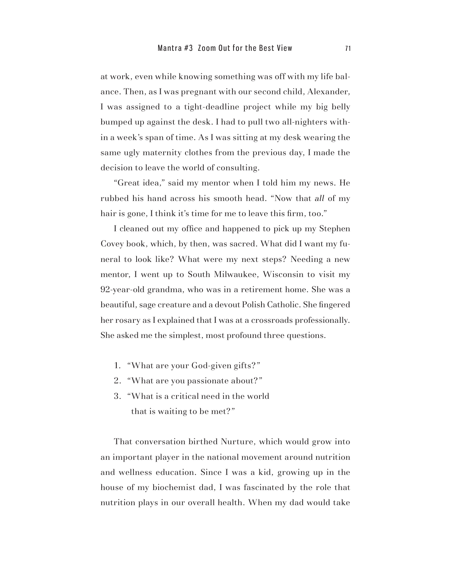at work, even while knowing something was off with my life balance. Then, as I was pregnant with our second child, Alexander, I was assigned to a tight-deadline project while my big belly bumped up against the desk. I had to pull two all-nighters within a week's span of time. As I was sitting at my desk wearing the same ugly maternity clothes from the previous day, I made the decision to leave the world of consulting.

"Great idea," said my mentor when I told him my news. He rubbed his hand across his smooth head. "Now that *all* of my hair is gone, I think it's time for me to leave this firm, too."

I cleaned out my office and happened to pick up my Stephen Covey book, which, by then, was sacred. What did I want my funeral to look like? What were my next steps? Needing a new mentor, I went up to South Milwaukee, Wisconsin to visit my 92-year-old grandma, who was in a retirement home. She was a beautiful, sage creature and a devout Polish Catholic. She fingered her rosary as I explained that I was at a crossroads professionally. She asked me the simplest, most profound three questions.

- 1. "What are your God-given gifts?"
- 2. "What are you passionate about?"
- 3. "What is a critical need in the world that is waiting to be met?"

That conversation birthed Nurture, which would grow into an important player in the national movement around nutrition and wellness education. Since I was a kid, growing up in the house of my biochemist dad, I was fascinated by the role that nutrition plays in our overall health. When my dad would take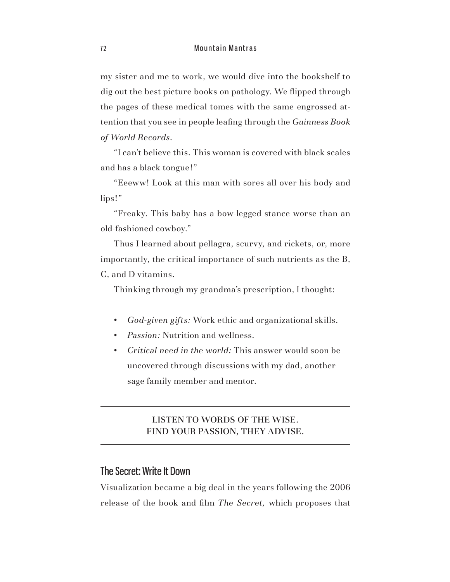my sister and me to work, we would dive into the bookshelf to dig out the best picture books on pathology. We flipped through the pages of these medical tomes with the same engrossed attention that you see in people leafing through the *Guinness Book of World Records*.

"I can't believe this. This woman is covered with black scales and has a black tongue!"

"Eeeww! Look at this man with sores all over his body and lips!"

"Freaky. This baby has a bow-legged stance worse than an old-fashioned cowboy."

Thus I learned about pellagra, scurvy, and rickets, or, more importantly, the critical importance of such nutrients as the B, C, and D vitamins.

Thinking through my grandma's prescription, I thought:

- s *God-given gifts:* Work ethic and organizational skills.
- *Passion:* Nutrition and wellness.
- s *Critical need in the world:* This answer would soon be uncovered through discussions with my dad, another sage family member and mentor.

#### LISTEN TO WORDS OF THE WISE. FIND YOUR PASSION, THEY ADVISE.

# The Secret: Write It Down

Visualization became a big deal in the years following the 2006 release of the book and film *The Secret,* which proposes that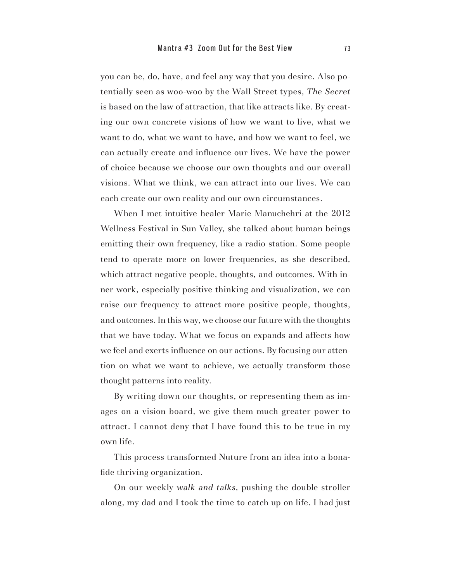you can be, do, have, and feel any way that you desire. Also potentially seen as woo-woo by the Wall Street types, *The Secret* is based on the law of attraction, that like attracts like. By creating our own concrete visions of how we want to live, what we want to do, what we want to have, and how we want to feel, we can actually create and influence our lives. We have the power of choice because we choose our own thoughts and our overall visions. What we think, we can attract into our lives. We can each create our own reality and our own circumstances.

When I met intuitive healer Marie Manuchehri at the 2012 Wellness Festival in Sun Valley, she talked about human beings emitting their own frequency, like a radio station. Some people tend to operate more on lower frequencies, as she described, which attract negative people, thoughts, and outcomes. With inner work, especially positive thinking and visualization, we can raise our frequency to attract more positive people, thoughts, and outcomes. In this way, we choose our future with the thoughts that we have today. What we focus on expands and affects how we feel and exerts influence on our actions. By focusing our attention on what we want to achieve, we actually transform those thought patterns into reality.

By writing down our thoughts, or representing them as images on a vision board, we give them much greater power to attract. I cannot deny that I have found this to be true in my own life.

This process transformed Nuture from an idea into a bonafide thriving organization.

On our weekly *walk and talks*, pushing the double stroller along, my dad and I took the time to catch up on life. I had just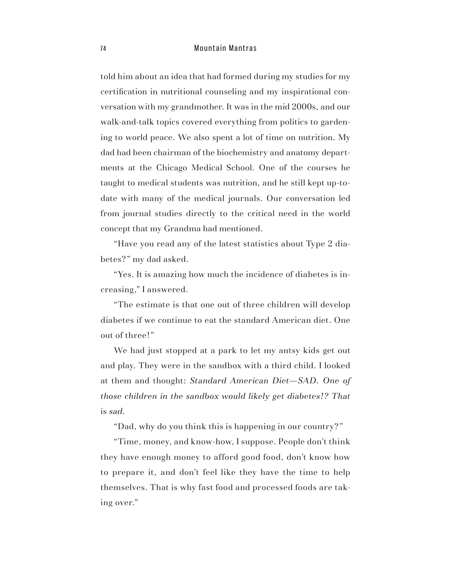#### 74 Mountain Mantras

told him about an idea that had formed during my studies for my certification in nutritional counseling and my inspirational conversation with my grandmother. It was in the mid 2000s, and our walk-and-talk topics covered everything from politics to gardening to world peace. We also spent a lot of time on nutrition. My dad had been chairman of the biochemistry and anatomy departments at the Chicago Medical School. One of the courses he taught to medical students was nutrition, and he still kept up-todate with many of the medical journals. Our conversation led from journal studies directly to the critical need in the world concept that my Grandma had mentioned.

"Have you read any of the latest statistics about Type 2 diabetes?" my dad asked.

"Yes. It is amazing how much the incidence of diabetes is increasing," I answered.

"The estimate is that one out of three children will develop diabetes if we continue to eat the standard American diet. One out of three!"

We had just stopped at a park to let my antsy kids get out and play. They were in the sandbox with a third child. I looked at them and thought: *Standard American Diet—SAD. One of those children in the sandbox would likely get diabetes!? That*  is *sad.*

"Dad, why do you think this is happening in our country?"

"Time, money, and know-how, I suppose. People don't think they have enough money to afford good food, don't know how to prepare it, and don't feel like they have the time to help themselves. That is why fast food and processed foods are taking over."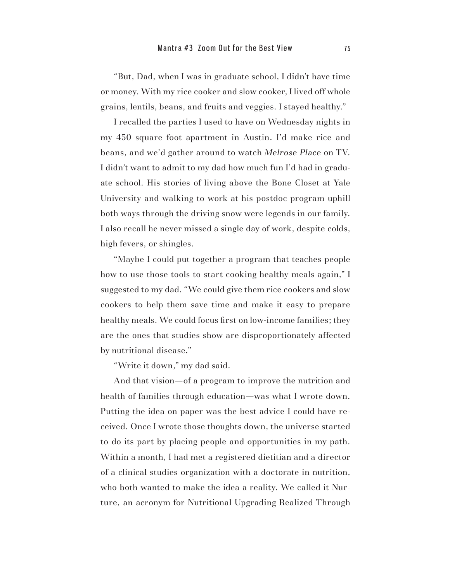"But, Dad, when I was in graduate school, I didn't have time or money. With my rice cooker and slow cooker, I lived off whole grains, lentils, beans, and fruits and veggies. I stayed healthy."

I recalled the parties I used to have on Wednesday nights in my 450 square foot apartment in Austin. I'd make rice and beans, and we'd gather around to watch *Melrose Place* on TV. I didn't want to admit to my dad how much fun I'd had in graduate school. His stories of living above the Bone Closet at Yale University and walking to work at his postdoc program uphill both ways through the driving snow were legends in our family. I also recall he never missed a single day of work, despite colds, high fevers, or shingles.

"Maybe I could put together a program that teaches people how to use those tools to start cooking healthy meals again," I suggested to my dad. "We could give them rice cookers and slow cookers to help them save time and make it easy to prepare healthy meals. We could focus first on low-income families; they are the ones that studies show are disproportionately affected by nutritional disease."

"Write it down," my dad said.

And that vision—of a program to improve the nutrition and health of families through education—was what I wrote down. Putting the idea on paper was the best advice I could have received. Once I wrote those thoughts down, the universe started to do its part by placing people and opportunities in my path. Within a month, I had met a registered dietitian and a director of a clinical studies organization with a doctorate in nutrition, who both wanted to make the idea a reality. We called it Nurture, an acronym for Nutritional Upgrading Realized Through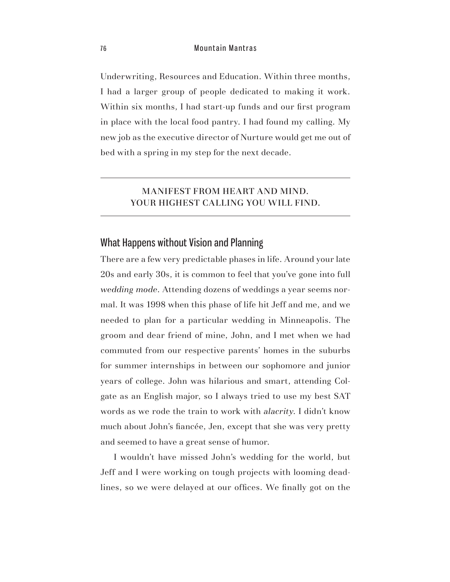Underwriting, Resources and Education. Within three months, I had a larger group of people dedicated to making it work. Within six months, I had start-up funds and our first program in place with the local food pantry. I had found my calling. My new job as the executive director of Nurture would get me out of bed with a spring in my step for the next decade.

#### MANIFEST FROM HEART AND MIND. YOUR HIGHEST CALLING YOU WILL FIND.

## What Happens without Vision and Planning

There are a few very predictable phases in life. Around your late 20s and early 30s, it is common to feel that you've gone into full *wedding mode*. Attending dozens of weddings a year seems normal. It was 1998 when this phase of life hit Jeff and me, and we needed to plan for a particular wedding in Minneapolis. The groom and dear friend of mine, John, and I met when we had commuted from our respective parents' homes in the suburbs for summer internships in between our sophomore and junior years of college. John was hilarious and smart, attending Colgate as an English major, so I always tried to use my best SAT words as we rode the train to work with *alacrity*. I didn't know much about John's fiancée, Jen, except that she was very pretty and seemed to have a great sense of humor.

I wouldn't have missed John's wedding for the world, but Jeff and I were working on tough projects with looming deadlines, so we were delayed at our offices. We finally got on the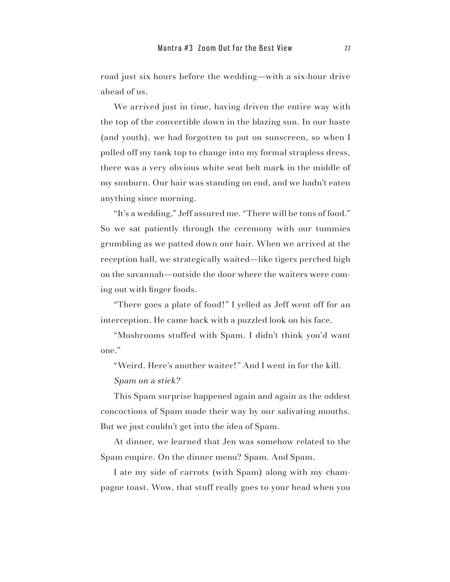road just six hours before the wedding—with a six-hour drive ahead of us.

We arrived just in time, having driven the entire way with the top of the convertible down in the blazing sun. In our haste (and youth), we had forgotten to put on sunscreen, so when I pulled off my tank top to change into my formal strapless dress, there was a very obvious white seat belt mark in the middle of my sunburn. Our hair was standing on end, and we hadn't eaten anything since morning.

"It's a wedding," Jeff assured me. "There will be tons of food." So we sat patiently through the ceremony with our tummies grumbling as we patted down our hair. When we arrived at the reception hall, we strategically waited—like tigers perched high on the savannah—outside the door where the waiters were coming out with finger foods.

"There goes a plate of food!" I yelled as Jeff went off for an interception. He came back with a puzzled look on his face.

"Mushrooms stuffed with Spam. I didn't think you'd want one."

"Weird. Here's another waiter!" And I went in for the kill.

*Spam on a stick?*

This Spam surprise happened again and again as the oddest concoctions of Spam made their way by our salivating mouths. But we just couldn't get into the idea of Spam.

At dinner, we learned that Jen was somehow related to the Spam empire. On the dinner menu? Spam. And Spam.

I ate my side of carrots (with Spam) along with my champagne toast. Wow, that stuff really goes to your head when you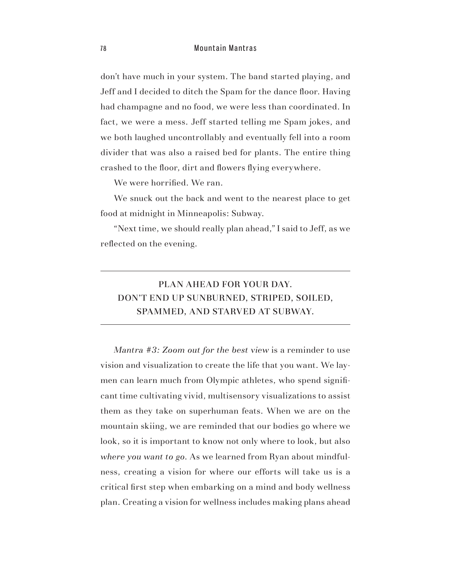don't have much in your system. The band started playing, and Jeff and I decided to ditch the Spam for the dance floor. Having had champagne and no food, we were less than coordinated. In fact, we were a mess. Jeff started telling me Spam jokes, and we both laughed uncontrollably and eventually fell into a room divider that was also a raised bed for plants. The entire thing crashed to the floor, dirt and flowers flying everywhere.

We were horrified. We ran.

We snuck out the back and went to the nearest place to get food at midnight in Minneapolis: Subway.

"Next time, we should really plan ahead," I said to Jeff, as we reflected on the evening.

# PLAN AHEAD FOR YOUR DAY. DON'T END UP SUNBURNED, STRIPED, SOILED, SPAMMED, AND STARVED AT SUBWAY.

*Mantra #3: Zoom out for the best view* is a reminder to use vision and visualization to create the life that you want. We laymen can learn much from Olympic athletes, who spend significant time cultivating vivid, multisensory visualizations to assist them as they take on superhuman feats. When we are on the mountain skiing, we are reminded that our bodies go where we look, so it is important to know not only where to look, but also *where you want to go*. As we learned from Ryan about mindfulness, creating a vision for where our efforts will take us is a critical first step when embarking on a mind and body wellness plan. Creating a vision for wellness includes making plans ahead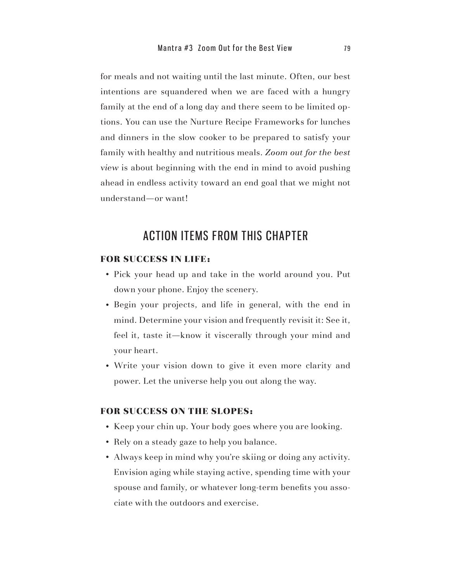for meals and not waiting until the last minute. Often, our best intentions are squandered when we are faced with a hungry family at the end of a long day and there seem to be limited options. You can use the Nurture Recipe Frameworks for lunches and dinners in the slow cooker to be prepared to satisfy your family with healthy and nutritious meals. *Zoom out for the best view* is about beginning with the end in mind to avoid pushing ahead in endless activity toward an end goal that we might not understand—or want!

# ACTIOn ITEMS FROM THIS CHAPTER

#### FOR SUCCESS IN LIFE:

- s Pick your head up and take in the world around you. Put down your phone. Enjoy the scenery.
- Begin your projects, and life in general, with the end in mind. Determine your vision and frequently revisit it: See it, feel it, taste it—know it viscerally through your mind and your heart.
- Write your vision down to give it even more clarity and power. Let the universe help you out along the way.

#### FOR SUCCESS ON THE SLOPES:

- Keep your chin up. Your body goes where you are looking.
- Rely on a steady gaze to help you balance.
- Always keep in mind why you're skiing or doing any activity. Envision aging while staying active, spending time with your spouse and family, or whatever long-term benefits you associate with the outdoors and exercise.